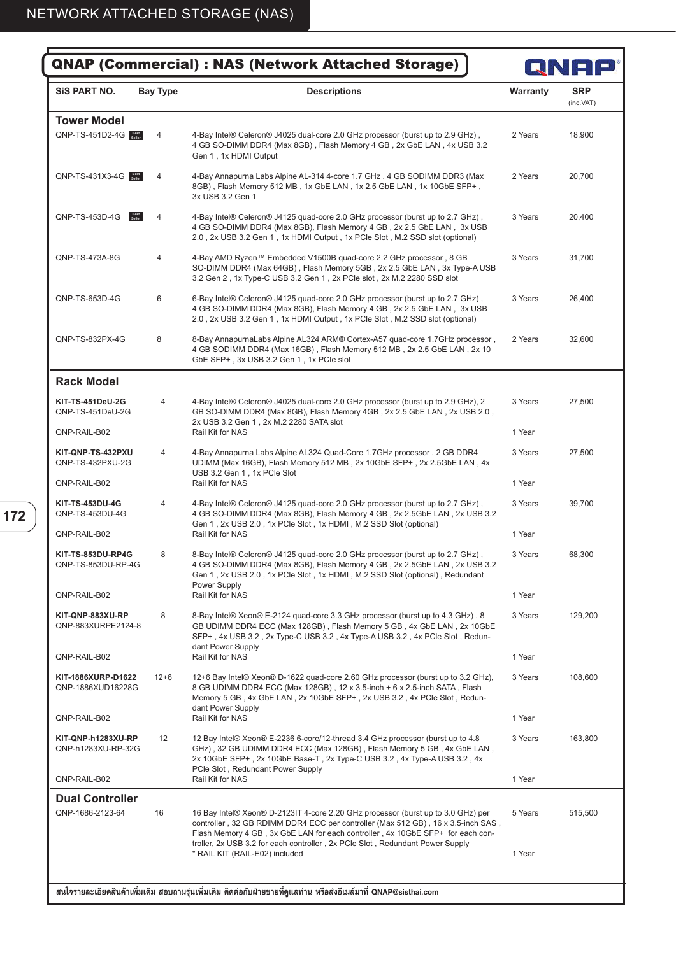**172**

| <b>QNAP (Commercial) : NAS (Network Attached Storage)</b> | QNAP            |                                                                                                                                                                                                                                                                                                                                         |          |                         |
|-----------------------------------------------------------|-----------------|-----------------------------------------------------------------------------------------------------------------------------------------------------------------------------------------------------------------------------------------------------------------------------------------------------------------------------------------|----------|-------------------------|
| <b>SIS PART NO.</b>                                       | <b>Bay Type</b> | <b>Descriptions</b>                                                                                                                                                                                                                                                                                                                     | Warranty | <b>SRP</b><br>(inc.VAT) |
| <b>Tower Model</b>                                        |                 |                                                                                                                                                                                                                                                                                                                                         |          |                         |
| <b>QNP-TS-451D2-4G</b><br>4                               |                 | 4-Bay Intel® Celeron® J4025 dual-core 2.0 GHz processor (burst up to 2.9 GHz),<br>4 GB SO-DIMM DDR4 (Max 8GB), Flash Memory 4 GB, 2x GbE LAN, 4x USB 3.2<br>Gen 1, 1x HDMI Output                                                                                                                                                       |          | 18,900                  |
| $QNP-TS-431X3-4G$<br>$\overline{4}$                       |                 | 4-Bay Annapurna Labs Alpine AL-314 4-core 1.7 GHz, 4 GB SODIMM DDR3 (Max<br>8GB), Flash Memory 512 MB, 1x GbE LAN, 1x 2.5 GbE LAN, 1x 10GbE SFP+,<br>3x USB 3.2 Gen 1                                                                                                                                                                   | 2 Years  | 20,700                  |
| QNP-TS-453D-4G                                            | 4               | 4-Bay Intel® Celeron® J4125 quad-core 2.0 GHz processor (burst up to 2.7 GHz),<br>4 GB SO-DIMM DDR4 (Max 8GB), Flash Memory 4 GB, 2x 2.5 GbE LAN, 3x USB<br>2.0, 2x USB 3.2 Gen 1, 1x HDMI Output, 1x PCIe Slot, M.2 SSD slot (optional)                                                                                                |          | 20,400                  |
| QNP-TS-473A-8G                                            | 4               | 4-Bay AMD Ryzen™ Embedded V1500B quad-core 2.2 GHz processor, 8 GB<br>SO-DIMM DDR4 (Max 64GB), Flash Memory 5GB, 2x 2.5 GbE LAN, 3x Type-A USB<br>3.2 Gen 2, 1x Type-C USB 3.2 Gen 1, 2x PCle slot, 2x M.2 2280 SSD slot                                                                                                                |          | 31,700                  |
| QNP-TS-653D-4G                                            | 6               | 6-Bay Intel® Celeron® J4125 quad-core 2.0 GHz processor (burst up to 2.7 GHz),<br>4 GB SO-DIMM DDR4 (Max 8GB), Flash Memory 4 GB, 2x 2.5 GbE LAN, 3x USB<br>2.0, 2x USB 3.2 Gen 1, 1x HDMI Output, 1x PCIe Slot, M.2 SSD slot (optional)                                                                                                | 3 Years  | 26,400                  |
| QNP-TS-832PX-4G                                           | 8               | 8-Bay AnnapurnaLabs Alpine AL324 ARM® Cortex-A57 quad-core 1.7GHz processor,<br>4 GB SODIMM DDR4 (Max 16GB), Flash Memory 512 MB, 2x 2.5 GbE LAN, 2x 10<br>GbE SFP+, 3x USB 3.2 Gen 1, 1x PCIe slot                                                                                                                                     | 2 Years  | 32.600                  |
| <b>Rack Model</b>                                         |                 |                                                                                                                                                                                                                                                                                                                                         |          |                         |
| <b>KIT-TS-451DeU-2G</b><br>QNP-TS-451DeU-2G               | 4               | 4-Bay Intel® Celeron® J4025 dual-core 2.0 GHz processor (burst up to 2.9 GHz), 2<br>GB SO-DIMM DDR4 (Max 8GB), Flash Memory 4GB, 2x 2.5 GbE LAN, 2x USB 2.0,<br>2x USB 3.2 Gen 1, 2x M.2 2280 SATA slot                                                                                                                                 | 3 Years  | 27,500                  |
| QNP-RAIL-B02                                              |                 | Rail Kit for NAS                                                                                                                                                                                                                                                                                                                        | 1 Year   |                         |
| KIT-QNP-TS-432PXU<br>QNP-TS-432PXU-2G                     | 4               | 4-Bay Annapurna Labs Alpine AL324 Quad-Core 1.7GHz processor, 2 GB DDR4<br>UDIMM (Max 16GB), Flash Memory 512 MB, 2x 10GbE SFP+, 2x 2.5GbE LAN, 4x<br>USB 3.2 Gen 1, 1x PCIe Slot                                                                                                                                                       | 3 Years  | 27,500                  |
| QNP-RAIL-B02                                              |                 | Rail Kit for NAS                                                                                                                                                                                                                                                                                                                        | 1 Year   |                         |
| <b>KIT-TS-453DU-4G</b><br>QNP-TS-453DU-4G                 | 4               | 4-Bay Intel® Celeron® J4125 quad-core 2.0 GHz processor (burst up to 2.7 GHz),<br>3 Years<br>4 GB SO-DIMM DDR4 (Max 8GB), Flash Memory 4 GB, 2x 2.5GbE LAN, 2x USB 3.2<br>Gen 1, 2x USB 2.0, 1x PCIe Slot, 1x HDMI, M.2 SSD Slot (optional)                                                                                             |          | 39,700                  |
| QNP-RAIL-B02                                              |                 | Rail Kit for NAS                                                                                                                                                                                                                                                                                                                        | 1 Year   |                         |
| KIT-TS-853DU-RP4G<br>QNP-TS-853DU-RP-4G                   |                 | 8-Bay Intel® Celeron® J4125 quad-core 2.0 GHz processor (burst up to 2.7 GHz)<br>4 GB SO-DIMM DDR4 (Max 8GB), Flash Memory 4 GB, 2x 2.5GbE LAN, 2x USB 3.2<br>Gen 1, 2x USB 2.0, 1x PCle Slot, 1x HDMI, M.2 SSD Slot (optional), Redundant<br>Power Supply                                                                              | 3 Years  | 68,300                  |
| QNP-RAIL-B02                                              |                 | Rail Kit for NAS                                                                                                                                                                                                                                                                                                                        | 1 Year   |                         |
| KIT-QNP-883XU-RP<br>QNP-883XURPE2124-8                    | 8               | 8-Bay Intel® Xeon® E-2124 quad-core 3.3 GHz processor (burst up to 4.3 GHz), 8<br>GB UDIMM DDR4 ECC (Max 128GB), Flash Memory 5 GB, 4x GbE LAN, 2x 10GbE<br>SFP+, 4x USB 3.2, 2x Type-C USB 3.2, 4x Type-A USB 3.2, 4x PCle Slot, Redun-                                                                                                | 3 Years  | 129,200                 |
| QNP-RAIL-B02                                              |                 | dant Power Supply<br>Rail Kit for NAS                                                                                                                                                                                                                                                                                                   | 1 Year   |                         |
| KIT-1886XURP-D1622<br>QNP-1886XUD16228G                   | $12 + 6$        | 12+6 Bay Intel® Xeon® D-1622 quad-core 2.60 GHz processor (burst up to 3.2 GHz),<br>8 GB UDIMM DDR4 ECC (Max 128GB), 12 x 3.5-inch + 6 x 2.5-inch SATA, Flash<br>Memory 5 GB, 4x GbE LAN, 2x 10GbE SFP+, 2x USB 3.2, 4x PCle Slot, Redun-                                                                                               | 3 Years  | 108,600                 |
| QNP-RAIL-B02                                              |                 | dant Power Supply<br>Rail Kit for NAS                                                                                                                                                                                                                                                                                                   | 1 Year   |                         |
| KIT-QNP-h1283XU-RP<br>QNP-h1283XU-RP-32G                  | 12              | 12 Bay Intel® Xeon® E-2236 6-core/12-thread 3.4 GHz processor (burst up to 4.8<br>GHz), 32 GB UDIMM DDR4 ECC (Max 128GB), Flash Memory 5 GB, 4x GbE LAN,<br>2x 10GbE SFP+, 2x 10GbE Base-T, 2x Type-C USB 3.2, 4x Type-A USB 3.2, 4x<br>PCIe Slot, Redundant Power Supply                                                               | 3 Years  | 163,800                 |
| QNP-RAIL-B02                                              |                 | Rail Kit for NAS                                                                                                                                                                                                                                                                                                                        | 1 Year   |                         |
| <b>Dual Controller</b>                                    |                 |                                                                                                                                                                                                                                                                                                                                         |          |                         |
| QNP-1686-2123-64                                          | 16              | 16 Bay Intel® Xeon® D-2123IT 4-core 2.20 GHz processor (burst up to 3.0 GHz) per<br>controller, 32 GB RDIMM DDR4 ECC per controller (Max 512 GB), 16 x 3.5-inch SAS,<br>Flash Memory 4 GB, 3x GbE LAN for each controller, 4x 10GbE SFP+ for each con-<br>troller, 2x USB 3.2 for each controller, 2x PCIe Slot, Redundant Power Supply | 5 Years  | 515,500                 |
|                                                           |                 | * RAIL KIT (RAIL-E02) included                                                                                                                                                                                                                                                                                                          | 1 Year   |                         |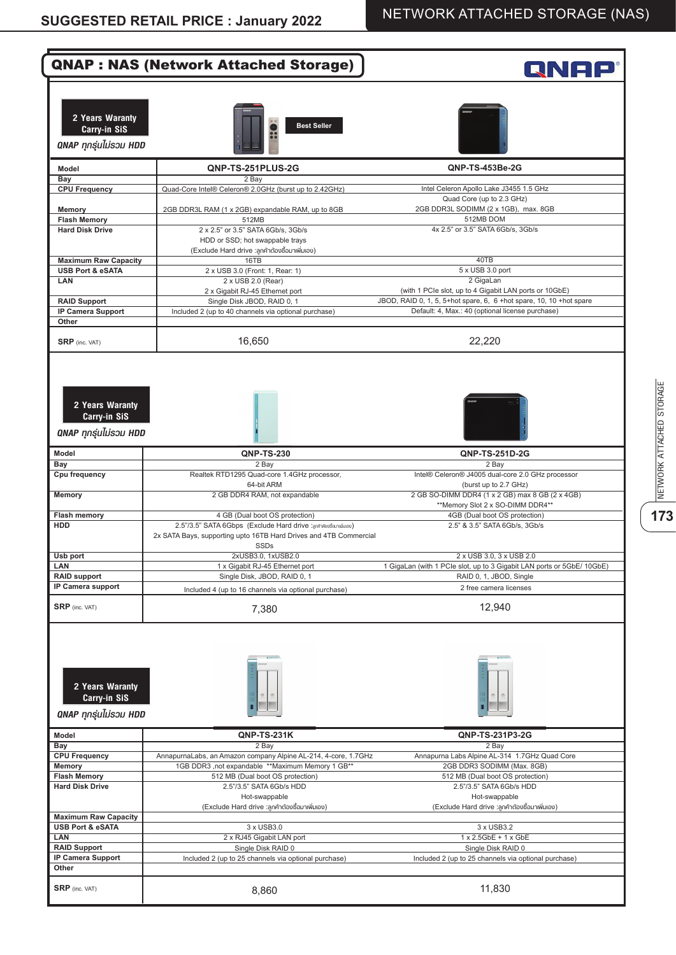|                                                                         | <b>QNAP: NAS (Network Attached Storage)</b>                                                                                                                         | RNAP                                                                                                                          |
|-------------------------------------------------------------------------|---------------------------------------------------------------------------------------------------------------------------------------------------------------------|-------------------------------------------------------------------------------------------------------------------------------|
| 2 Years Waranty<br><b>Carry-in SiS</b><br><b>QNAP ทุกรุ่นไม่รวม HDD</b> | <b>Best Seller</b>                                                                                                                                                  |                                                                                                                               |
| Model                                                                   | QNP-TS-251PLUS-2G                                                                                                                                                   | <b>ONP-TS-453Be-2G</b>                                                                                                        |
| Bay<br><b>CPU Frequency</b>                                             | $2$ Bay<br>Quad-Core Intel® Celeron® 2.0GHz (burst up to 2.42GHz)                                                                                                   | Intel Celeron Apollo Lake J3455 1.5 GHz                                                                                       |
| Memory<br><b>Flash Memory</b>                                           | 2GB DDR3L RAM (1 x 2GB) expandable RAM, up to 8GB<br>512MB                                                                                                          | Quad Core (up to 2.3 GHz)<br>2GB DDR3L SODIMM (2 x 1GB), max. 8GB<br>512MB DOM                                                |
| <b>Hard Disk Drive</b>                                                  | 2 x 2.5" or 3.5" SATA 6Gb/s, 3Gb/s<br>HDD or SSD; hot swappable trays<br>(Exclude Hard drive :ลูกค้าต้องซื้อมาเพิ่มเอง)                                             | 4x 2.5" or 3.5" SATA 6Gb/s, 3Gb/s                                                                                             |
| <b>Maximum Raw Capacity</b>                                             | 16TB                                                                                                                                                                | 40TB                                                                                                                          |
| <b>USB Port &amp; eSATA</b>                                             | 2 x USB 3.0 (Front: 1, Rear: 1)                                                                                                                                     | 5 x USB 3.0 port                                                                                                              |
| LAN                                                                     | 2 x USB 2.0 (Rear)<br>2 x Gigabit RJ-45 Ethernet port                                                                                                               | 2 GigaLan<br>(with 1 PCIe slot, up to 4 Gigabit LAN ports or 10GbE)                                                           |
| <b>RAID Support</b>                                                     | Single Disk JBOD, RAID 0, 1                                                                                                                                         | JBOD, RAID 0, 1, 5, 5+hot spare, 6, 6 +hot spare, 10, 10 +hot spare                                                           |
| <b>IP Camera Support</b><br>Other                                       | Included 2 (up to 40 channels via optional purchase)                                                                                                                | Default: 4, Max.: 40 (optional license purchase)                                                                              |
| <b>SRP</b> (inc. VAT)                                                   | 16,650                                                                                                                                                              | 22,220                                                                                                                        |
| 2 Years Waranty<br>Carry-in SiS<br>QNAP ทุกรุ่นไม่รวม HDD               |                                                                                                                                                                     |                                                                                                                               |
| <b>Model</b>                                                            | <b>QNP-TS-230</b>                                                                                                                                                   | QNP-TS-251D-2G                                                                                                                |
| Bay<br>Cpu frequency                                                    | 2 Bay                                                                                                                                                               | 2 Bay                                                                                                                         |
| <b>Memory</b>                                                           | Realtek RTD1295 Quad-core 1.4GHz processor,<br>64-bit ARM<br>2 GB DDR4 RAM, not expandable                                                                          | Intel® Celeron® J4005 dual-core 2.0 GHz processor<br>(burst up to 2.7 GHz)<br>2 GB SO-DIMM DDR4 (1 x 2 GB) max 8 GB (2 x 4GB) |
|                                                                         |                                                                                                                                                                     | **Memory Slot 2 x SO-DIMM DDR4**                                                                                              |
| <b>Flash memory</b><br><b>HDD</b>                                       | 4 GB (Dual boot OS protection)<br>2.5"/3.5" SATA 6Gbps (Exclude Hard drive :anAnieudeunuduleu)<br>2x SATA Bays, supporting upto 16TB Hard Drives and 4TB Commercial | 4GB (Dual boot OS protection)<br>2.5" & 3.5" SATA 6Gb/s, 3Gb/s                                                                |
| Usb port                                                                | <b>SSDs</b><br>2xUSB3.0, 1xUSB2.0                                                                                                                                   | 2 x USB 3.0, 3 x USB 2.0                                                                                                      |
| LAN                                                                     | 1 x Gigabit RJ-45 Ethernet port                                                                                                                                     | 1 GigaLan (with 1 PCIe slot, up to 3 Gigabit LAN ports or 5GbE/ 10GbE)                                                        |
| <b>RAID support</b>                                                     | Single Disk, JBOD, RAID 0, 1                                                                                                                                        | RAID 0, 1, JBOD, Single                                                                                                       |
| IP Camera support                                                       | Included 4 (up to 16 channels via optional purchase)                                                                                                                | 2 free camera licenses                                                                                                        |
| <b>SRP</b> (inc. VAT)                                                   | 7,380                                                                                                                                                               | 12,940                                                                                                                        |
| 2 Years Waranty<br>Carry-in SiS<br><b>QNAP ทุกรุ่นไม่รวม HDD</b>        |                                                                                                                                                                     |                                                                                                                               |
| <b>Model</b><br>Bay                                                     | <b>QNP-TS-231K</b><br>2 Bay                                                                                                                                         | QNP-TS-231P3-2G<br>2 Bay                                                                                                      |
| <b>CPU Frequency</b>                                                    | AnnapurnaLabs, an Amazon company Alpine AL-214, 4-core, 1.7GHz                                                                                                      | Annapurna Labs Alpine AL-314 1.7GHz Quad Core                                                                                 |
| Memory                                                                  | 1GB DDR3 , not expandable ** Maximum Memory 1 GB**                                                                                                                  | 2GB DDR3 SODIMM (Max. 8GB)                                                                                                    |
| <b>Flash Memory</b>                                                     | 512 MB (Dual boot OS protection)                                                                                                                                    | 512 MB (Dual boot OS protection)                                                                                              |
| <b>Hard Disk Drive</b>                                                  | 2.5"/3.5" SATA 6Gb/s HDD<br>Hot-swappable                                                                                                                           | 2.5"/3.5" SATA 6Gb/s HDD<br>Hot-swappable                                                                                     |
|                                                                         | (Exclude Hard drive :ลูกค้าต้องซื้อมาเพิ่มเอง)                                                                                                                      | (Exclude Hard drive :ลูกค้าต้องซื้อมาเพิ่มเอง)                                                                                |
| <b>Maximum Raw Capacity</b><br><b>USB Port &amp; eSATA</b>              | 3 x USB3.0                                                                                                                                                          | 3 x USB3.2                                                                                                                    |
| LAN                                                                     | 2 x RJ45 Gigabit LAN port                                                                                                                                           | 1 x 2.5GbE + 1 x GbE                                                                                                          |
| <b>RAID Support</b>                                                     | Single Disk RAID 0                                                                                                                                                  | Single Disk RAID 0                                                                                                            |
| IP Camera Support                                                       | Included 2 (up to 25 channels via optional purchase)                                                                                                                | Included 2 (up to 25 channels via optional purchase)                                                                          |
| Other                                                                   |                                                                                                                                                                     |                                                                                                                               |
| <b>SRP</b> (inc. VAT)                                                   | 8,860                                                                                                                                                               | 11,830                                                                                                                        |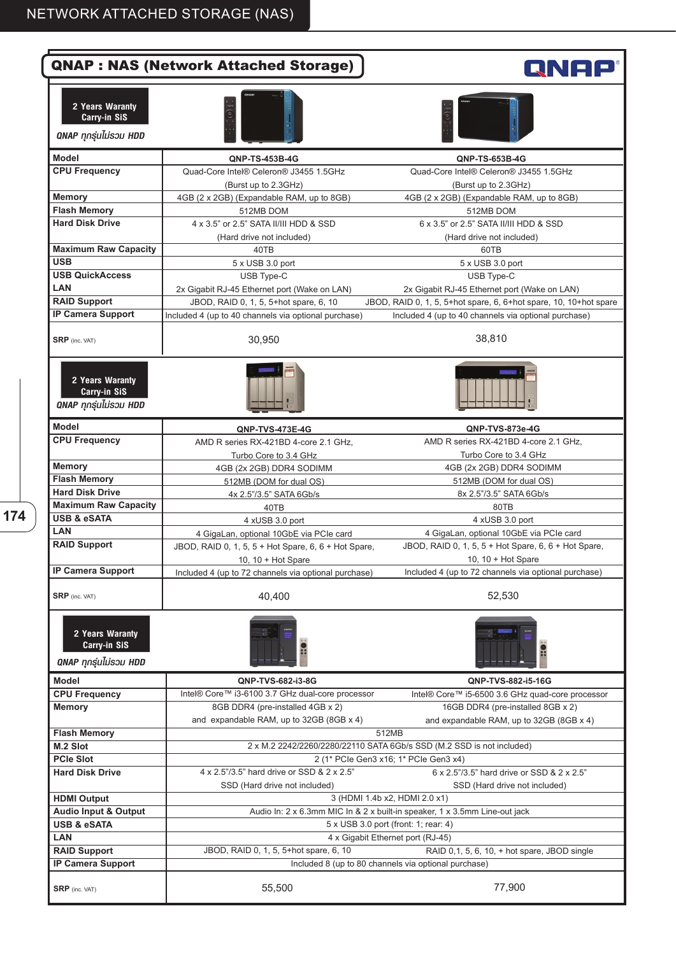|                                                                  | <b>QNAP : NAS (Network Attached Storage)</b>                                                                       | RNAP®                                                                         |  |  |
|------------------------------------------------------------------|--------------------------------------------------------------------------------------------------------------------|-------------------------------------------------------------------------------|--|--|
| 2 Years Waranty<br>Carry-in SiS<br><b>QNAP ทุกรุ่นไม่รวม HDD</b> |                                                                                                                    |                                                                               |  |  |
| <b>Model</b>                                                     | <b>QNP-TS-453B-4G</b>                                                                                              | QNP-TS-653B-4G                                                                |  |  |
| <b>CPU Frequency</b>                                             | Quad-Core Intel® Celeron® J3455 1.5GHz<br>(Burst up to 2.3GHz)                                                     | Quad-Core Intel® Celeron® J3455 1.5GHz<br>(Burst up to 2.3GHz)                |  |  |
| <b>Memory</b>                                                    | 4GB (2 x 2GB) (Expandable RAM, up to 8GB)                                                                          | 4GB (2 x 2GB) (Expandable RAM, up to 8GB)                                     |  |  |
| <b>Flash Memory</b>                                              | 512MB DOM                                                                                                          | 512MB DOM                                                                     |  |  |
| <b>Hard Disk Drive</b>                                           | 4 x 3.5" or 2.5" SATA II/III HDD & SSD<br>(Hard drive not included)                                                | 6 x 3.5" or 2.5" SATA II/III HDD & SSD<br>(Hard drive not included)           |  |  |
| <b>Maximum Raw Capacity</b>                                      | 40TB                                                                                                               | 60TB                                                                          |  |  |
| <b>USB</b>                                                       | 5 x USB 3.0 port                                                                                                   |                                                                               |  |  |
| <b>USB QuickAccess</b>                                           |                                                                                                                    | 5 x USB 3.0 port                                                              |  |  |
|                                                                  | USB Type-C                                                                                                         | USB Type-C                                                                    |  |  |
| <b>LAN</b>                                                       | 2x Gigabit RJ-45 Ethernet port (Wake on LAN)                                                                       | 2x Gigabit RJ-45 Ethernet port (Wake on LAN)                                  |  |  |
| <b>RAID Support</b>                                              | JBOD, RAID 0, 1, 5, 5+hot spare, 6, 10                                                                             | JBOD, RAID 0, 1, 5, 5+hot spare, 6, 6+hot spare, 10, 10+hot spare             |  |  |
| <b>IP Camera Support</b>                                         | Included 4 (up to 40 channels via optional purchase)                                                               | Included 4 (up to 40 channels via optional purchase)                          |  |  |
| <b>SRP</b> (inc. VAT)                                            | 30,950                                                                                                             | 38,810                                                                        |  |  |
| 2 Years Waranty<br>Carry-in SiS<br><b>QNAP ทุกรุ่นไม่รวม HDD</b> |                                                                                                                    |                                                                               |  |  |
| <b>Model</b>                                                     | <b>QNP-TVS-473E-4G</b>                                                                                             | QNP-TVS-873e-4G                                                               |  |  |
| <b>CPU Frequency</b>                                             | AMD R series RX-421BD 4-core 2.1 GHz,                                                                              | AMD R series RX-421BD 4-core 2.1 GHz,                                         |  |  |
|                                                                  | Turbo Core to 3.4 GHz                                                                                              | Turbo Core to 3.4 GHz                                                         |  |  |
| <b>Memory</b>                                                    | 4GB (2x 2GB) DDR4 SODIMM                                                                                           | 4GB (2x 2GB) DDR4 SODIMM                                                      |  |  |
| <b>Flash Memory</b>                                              | 512MB (DOM for dual OS)                                                                                            | 512MB (DOM for dual OS)                                                       |  |  |
| <b>Hard Disk Drive</b>                                           | 4x 2.5"/3.5" SATA 6Gb/s                                                                                            | 8x 2.5"/3.5" SATA 6Gb/s                                                       |  |  |
| <b>Maximum Raw Capacity</b>                                      | 40TB                                                                                                               | 80TB                                                                          |  |  |
| <b>USB &amp; eSATA</b>                                           | 4 xUSB 3.0 port                                                                                                    | 4 xUSB 3.0 port                                                               |  |  |
| LAN                                                              | 4 GigaLan, optional 10GbE via PCIe card                                                                            | 4 GigaLan, optional 10GbE via PCIe card                                       |  |  |
| <b>RAID Support</b>                                              | JBOD, RAID 0, 1, 5, 5 + Hot Spare, 6, 6 + Hot Spare,                                                               | JBOD, RAID 0, 1, 5, 5 + Hot Spare, 6, 6 + Hot Spare,                          |  |  |
|                                                                  | 10, 10 + Hot Spare                                                                                                 | 10, 10 + Hot Spare                                                            |  |  |
| <b>IP Camera Support</b>                                         | Included 4 (up to 72 channels via optional purchase)                                                               | Included 4 (up to 72 channels via optional purchase)                          |  |  |
| <b>SRP</b> (inc. VAT)                                            | 40,400                                                                                                             | 52,530                                                                        |  |  |
| 2 Years Waranty<br>Carry-in SiS<br><b>QNAP ทุกรุ่นไม่รวม HDD</b> |                                                                                                                    |                                                                               |  |  |
| <b>Model</b>                                                     | QNP-TVS-682-i3-8G                                                                                                  | QNP-TVS-882-i5-16G                                                            |  |  |
| <b>CPU Frequency</b>                                             | Intel® Core™ i3-6100 3.7 GHz dual-core processor                                                                   | Intel® Core™ i5-6500 3.6 GHz quad-core processor                              |  |  |
| <b>Memory</b>                                                    | 8GB DDR4 (pre-installed 4GB x 2)<br>and expandable RAM, up to 32GB (8GB x 4)                                       | 16GB DDR4 (pre-installed 8GB x 2)<br>and expandable RAM, up to 32GB (8GB x 4) |  |  |
| <b>Flash Memory</b>                                              |                                                                                                                    | 512MB                                                                         |  |  |
| M.2 Slot                                                         |                                                                                                                    | 2 x M.2 2242/2260/2280/22110 SATA 6Gb/s SSD (M.2 SSD is not included)         |  |  |
| <b>PCIe Slot</b>                                                 |                                                                                                                    | 2 (1* PCle Gen3 x16; 1* PCle Gen3 x4)                                         |  |  |
| <b>Hard Disk Drive</b>                                           | 4 x 2.5"/3.5" hard drive or SSD & 2 x 2.5"<br>SSD (Hard drive not included)                                        | 6 x 2.5"/3.5" hard drive or SSD & 2 x 2.5"<br>SSD (Hard drive not included)   |  |  |
| <b>HDMI Output</b>                                               |                                                                                                                    | 3 (HDMI 1.4b x2, HDMI 2.0 x1)                                                 |  |  |
| <b>Audio Input &amp; Output</b>                                  |                                                                                                                    |                                                                               |  |  |
| <b>USB &amp; eSATA</b>                                           | Audio In: 2 x 6.3mm MIC In & 2 x built-in speaker, 1 x 3.5mm Line-out jack<br>5 x USB 3.0 port (front: 1; rear: 4) |                                                                               |  |  |
| LAN                                                              | 4 x Gigabit Ethernet port (RJ-45)                                                                                  |                                                                               |  |  |
| <b>RAID Support</b>                                              | JBOD, RAID 0, 1, 5, 5+hot spare, 6, 10                                                                             | RAID 0,1, 5, 6, 10, + hot spare, JBOD single                                  |  |  |
| <b>IP Camera Support</b>                                         |                                                                                                                    | Included 8 (up to 80 channels via optional purchase)                          |  |  |
| $SRP$ (inc. VAT)                                                 | 55,500                                                                                                             | 77,900                                                                        |  |  |
|                                                                  |                                                                                                                    |                                                                               |  |  |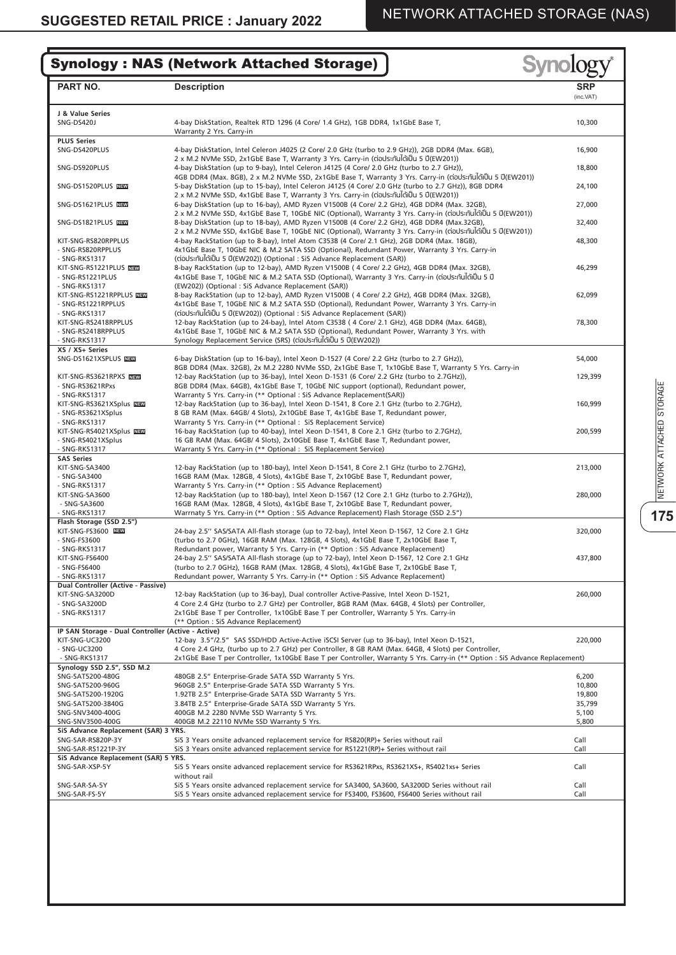#### **Synolog** Synology : NAS (Network Attached Storage) **PART NO. Description SRP** (inc.VAT) **J & Value Series** SNG-DS420J 4-bay DiskStation, Realtek RTD 1296 (4 Core/ 1.4 GHz), 1GB DDR4, 1x1GbE Base T, 10,300 Warranty 2 Yrs. Carry-in **PLUS Series** 4-bay DiskStation, Intel Celeron J4025 (2 Core/ 2.0 GHz (turbo to 2.9 GHz)), 2GB DDR4 (Max. 6GB), 16,900 2 x M.2 NVMe SSD, 2x1GbE Base T, Warranty 3 Yrs. Carry-in (ต่อประกันได้เป็น 5 ปี(EW201)) SNG-DS920PLUS 4-bay DiskStation (up to 9-bay), Intel Celeron J4125 (4 Core/ 2.0 GHz (turbo to 2.7 GHz)), 18,800 4GB DDR4 (Max. 8GB), 2 x M.2 NVMe SSD, 2x1GbE Base T, Warranty 3 Yrs. Carry-in (ต่อประกันได้เป็น 5 ปี(EW201)) SNG-DS1520PLUS **NEW** 5-bay DiskStation (up to 15-bay), Intel Celeron J4125 (4 Core/ 2.0 GHz (turbo to 2.7 GHz)), 8GB DDR4 24,100 2 x M.2 NVMe SSD, 4x1GbE Base T, Warranty 3 Yrs. Carry-in (ต่อประกันได้เป็น 5 ปี(EW201)) SNG-DS1621PLUS NEW 6-bay DiskStation (up to 16-bay), AMD Ryzen V1500B (4 Core/ 2.2 GHz), 4GB DDR4 (Max. 32GB), 27,000 2 x M.2 NVMe SSD, 4x1GbE Base T, 10GbE NIC (Optional), Warranty 3 Yrs. Carry-in (ต่อประกันได้เป็น 5 ปี(EW201)) SNG-DS1821PLUS NEW 8-bay DiskStation (up to 18-bay), AMD Ryzen V1500B (4 Core/ 2.2 GHz), 4GB DDR4 (Max.32GB), 32,400 2 x M.2 NVMe SSD, 4x1GbE Base T, 10GbE NIC (Optional), Warranty 3 Yrs. Carry-in (ต่อประกันได้เป็น 5 ปี(EW201)) KIT-SNG-RS820RPPLUS 4-bay RackStation (up to 8-bay), Intel Atom C3538 (4 Core/ 2.1 GHz), 2GB DDR4 (Max. 18GB), 48,300<br>A SNG-RS820RPPLUS 4x1GbE Base T. 10GbE NIC & M.2 SATA SSD (Optional). Redundant Power. Warranty 3 Yrs. C - SNG-RS820RPPLUS 4x1GbE Base T, 10GbE NIC & M.2 SATA SSD (Optional), Redundant Power, Warranty 3 Yrs. Carry-in - SNG-RKS1317 (ต่อประกันได้เป็น 5 ปี(EW202)) (Optional : SiS Advance Replacement (SAR)) KIT-SNG-RS1221PLUS NEW KIT-SNG-RS1221PLUS 8-bay RackStation (up to 12-bay), AMD Ryzen V1500B ( 4 Core/ 2.2 GHz), 4GB DDR4 (Max. 32GB), 46,299 - SNG-RS1221PLUS 4x1GbE Base T, 10GbE NIC & M.2 SATA SSD (Optional), Warranty 3 Yrs. Carry-in (ต่อประกันได้เป็น 5 ปี (EW202)) (Optional : SiS Advance Replacement (SAR)) **KIT-SNG-RS1221RPPLUS NEW** KIT-SNG-RS1221RPPLUS **NEXI Alteration (up to 12-bay), AMD** Ryzen V1500B ( 4 Core/ 2.2 GHz), 4GB DDR4 (Max. 32GB),<br>- SNG-RS1221RPPLUS Next Ax1GbE Base T, 10GbE NIC & M.2 SATA SSD (Optional), Redundant Power, Warranty 3 Yrs. - SNG-RS1221RPPLUS 4x1GbE Base T, 10GbE NIC & M.2 SATA SSD (Optional), Redundant Power, Warranty 3 Yrs. Carry-in - SNG-RKS1317 (ต่อประกันได้เป็น 5 ปี(EW202)) (Optional : SiS Advance Replacement (SAR)) KIT-SNG-RS2418RPPLUS 12-bay RackStation (up to 24-bay), Intel Atom C3538 ( 4 Core/ 2.1 GHz), 4GB DDR4 (Max. 64GB), 78,300 - SNG-RS2418RPPLUS 4x1GbE Base T, 10GbE NIC & M.2 SATA SSD (Optional), Redundant Power, Warranty 3 Yrs. with Synology Replacement Service (SRS) (ต่อประกันได้เป็น 5 ปี(EW202)) **XS / XS+ Series** 6-bay DiskStation (up to 16-bay), Intel Xeon D-1527 (4 Core/ 2.2 GHz (turbo to 2.7 GHz)), 54,000 **SNG-DS1621XSPLUS NEW** 8GB DDR4 (Max. 32GB), 2x M.2 2280 NVMe SSD, 2x1GbE Base T, 1x10GbE Base T, Warranty 5 Yrs. Carry-in KIT-SNG-RS3621RPXS NEW 12-bay RackStation (up to 36-bay), Intel Xeon D-1531 (6 Core/ 2.2 GHz (turbo to 2.7GHz)), 129,3999<br>- SNG-RS3621RPxs 8GB DDR4 (Max. 64GB). 4x1GbE Base T. 10GbE NIC support (optional). Redundant power. KIT-SNG-RS3621RPXS NEW SNG-RS3621RPxs 8GB DDR4 (Max. 64GB), 4x1GbE Base T, 10GbE NIC support (optional), Redundant power,<br>SNG-RKS1317 866 SNG-RAM Warranty 5 Yrs Carry-in (\*\* Ontional : SiS Advance Replacement(SAR)) - SNG-RKS1317 Warranty 5 Yrs. Carry-in (\*\* Optional : SiS Advance Replacement(SAR)) KIT-SNG-RS3621XSplus NEW KIT-SNG-RS3621XSplus 12-bay RackStation (up to 36-bay), Intel Xeon D-1541, 8 Core 2.1 GHz (turbo to 2.7GHz), 160,999 - SNG-RS3621XSplus 8 GB RAM (Max. 64GB/ 4 Slots), 2x10GbE Base T, 4x1GbE Base T, Redundant power,<br>- SNG-RKS1317 Warranty 5 Yrs. Carry-in (\*\* Optional : SiS Replacement Service) KIT-SNG-RS4021XSplus NEW KIT-SNG-RS4021XSplus 16-bay RackStation (up to 40-bay), Intel Xeon D-1541, 8 Core 2.1 GHz (turbo to 2.7GHz), 200,599 - SNG-RS4021XSplus 16 GB RAM (Max. 64GB/ 4 Slots), 2x10GbE Base T, 4x1GbE Base T, Redundant power,<br>- SNG-RKS1317 SWATTATY 5 Yrs. Carry-in (\*\* Optional : SiS Replacement Service) Warranty 5 Yrs. Carry-in (\*\* Optional : SiS Replacement Service) **SAS Series** KIT-SNG-SA3400 12-bay RackStation (up to 180-bay), Intel Xeon D-1541, 8 Core 2.1 GHz (turbo to 2.7GHz), 213,000 - SNG-SA3400 16GB RAM (Max. 128GB, 4 Slots), 4x1GbE Base T, 2x10GbE Base T, Redundant power,<br>- SNG-RKS1317 1986 1987 - Warranty 5 Yrs. Carry-in (\*\* Ontion : SiS Advance Replacement) - SNG-RKS1317 Warranty 5 Yrs. Carry-in (\*\* Option : SiS Advance Replacement) KIT-SNG-SA3600 12-bay RackStation (up to 180-bay), Intel Xeon D-1567 (12 Core 2.1 GHz (turbo to 2.7GHz)), 280,000 - SNG-SA3600 16GB RAM (Max. 128GB, 4 Slots), 4x1GbE Base T, 2x10GbE Base T, Redundant power, 5NG-RKS1317 16GB RAM (Max. 128GB, 4 Slotion: SiS Advance Replacement) Flash Storage (SSD 2 Warrnaty 5 Yrs. Carry-in (\*\* Option : SiS Advance Replacement) Flash Storage (SSD 2.5") **Flash Storage (SSD 2.5")** KIT-SNG-FS3600 KIT-SNG-FS3600 24-bay 2.5'' SAS/SATA All-fl ash storage (up to 72-bay), Intel Xeon D-1567, 12 Core 2.1 GHz 320,000 - SNG-FS3600 (turbo to 2.7 0GHz), 16GB RAM (Max. 128GB, 4 Slots), 4x1GbE Base T, 2x10GbE Base T,<br>- SNG-RKS1317 Redundant power. Warranty 5 Yrs. Carry-in (\*\* Option : - SNG-RKS1317 Redundant power, Warranty 5 Yrs. Carry-in (\*\* Option : SiS Advance Replacement)<br>RIT-SNG-FS6400 74-hay 2 5" SAS/SATA All-flash storage (up to 72-hay) Intel Xeon D-1567 12 Core KIT-SNG-FS6400 24-bay 2.5'' SAS/SATA All-fl ash storage (up to 72-bay), Intel Xeon D-1567, 12 Core 2.1 GHz 437,800 - SNG-FS6400 (turbo to 2.7 0GHz), 16GB RAM (Max. 128GB, 4 Slots), 4x1GbE Base T, 2x10GbE Base T, - SNG-RKS1317 Redundant power, Warranty 5 Yrs. Carry-in (\*\* Option : SiS Advance Replacement) **Dual Controller (Active - Passive)** KIT-SNG-SA3200D 12-bay RackStation (up to 36-bay), Dual controller Active-Passive, Intel Xeon D-1521, 260,000 - SNG-SA3200D 4 Core 2.4 GHz (turbo to 2.7 GHz) per Controller, 8GB RAM (Max. 64GB, 4 Slots) per Controller, 2x1GbE Base T per Controller, 1x10GbE Base T per Controller, Warranty 5 Yrs. Carry-in (\*\* Option : SiS Advance Replacement) **IP SAN Storage - Dual Controller (Active - Active)** KIT-SNG-UC3200 12-bay 3.5"/2.5" SAS SSD/HDD Active-Active iSCSI Server (up to 36-bay), Intel Xeon D-1521, 220,000 SNG-UC3200 4 Core 2.4 GHz, (turbo up to 2.7 GHz) per Controller, 8 GB RAM (Max. 64GB, 4 Slots) per Controller,<br>: SNG-RKS1317 2x1GbE Base T per Controller, 1x10GbE Base T per Controller, Warranty 5 Yrs. Carry-in (\*\* Option 2x1GbE Base T per Controller, 1x10GbE Base T per Controller, Warranty 5 Yrs. Carry-in (\*\* Option : SiS Advance Replacement) **Synology SSD 2.5", SSD M.2** SNG-SAT5200-480G 480GB 2.5" Enterprise-Grade SATA SSD Warranty 5 Yrs.<br>SNG-SAT5200-960G 480GB 2.5" Enterprise-Grade SATA SSD Warranty 5 Yrs. 6,200 461 10.800 5 10.800 5 10.800 5 10. SNG-SAT5200-960G 960GB 2.5" Enterprise-Grade SATA SSD Warranty 5 Yrs. 10,800 SNG-SAT5200-1920G 1.92TB 2.5" Enterprise-Grade SATA SSD Warranty 5 Yrs.<br>19,800 SNG-SAT5200-3840G 3.84TB 2.5" Enterprise-Grade SATA SSD Warranty 5 Yrs. SNG-SAT5200-3840G 3.84TB 2.5" Enterprise-Grade SATA SSD Warranty 5 Yrs.<br>SNG-SNV3400-400G 400GB 400GB M.2 2280 NVMe SSD Warranty 5 Yrs. 35,799 35,799 SNG-SNV3400-400G 400GB M.2 2280 NVMe SSD Warranty 5 Yrs. 5,100 400GB M.2 22110 NVMe SSD Warranty 5 Yrs. **SiS Advance Replacement (SAR) 3 YRS.**<br>SNG-SAR-RS820P-3Y SiS SNG-SAR-RS820P-3Y SiS 3 Years onsite advanced replacement service for RS820(RP)+ Series without rail SNG-SAR-RS1221P-3Y SiS 3 Years onsite advanced replacement service for RS1221(RP)+ Series without rail SNG-SAR-RS1221P-3Y SiS 3 Years onsite advanced replacement service for RS1221(RP)+ Series without rail **SiS Advance Replacement (SAR) 5 YRS.**<br>SNG-SAR-XSP-5Y SiS SiS 5 Years onsite advanced replacement service for RS3621RPxs, RS3621XS+, RS4021xs+ Series Call without rail SNG-SAR-SA-5Y SiS 5 Years onsite advanced replacement service for SA3400, SA3600, SA3200D Series without rail Call<br>SNG-SAR-FS-5Y SiS 5 Years onsite advanced replacement service for FS3400. FS3600. FS6400 Series without rai SiS 5 Years onsite advanced replacement service for FS3400, FS3600, FS6400 Series without rail

**175**NETWORK ATTACHED STORAGE **VETWORK ATTACHED STORAGE** 

175